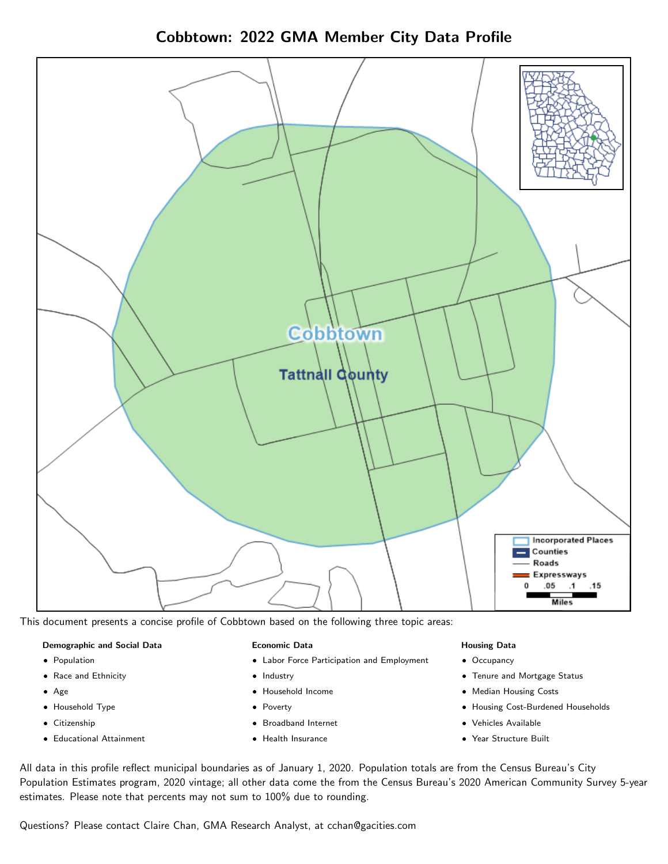Cobbtown: 2022 GMA Member City Data Profile



This document presents a concise profile of Cobbtown based on the following three topic areas:

### Demographic and Social Data

- **•** Population
- Race and Ethnicity
- Age
- Household Type
- **Citizenship**
- Educational Attainment

### Economic Data

- Labor Force Participation and Employment
- Industry
- Household Income
- Poverty
- Broadband Internet
- Health Insurance

### Housing Data

- Occupancy
- Tenure and Mortgage Status
- Median Housing Costs
- Housing Cost-Burdened Households
- Vehicles Available
- Year Structure Built

All data in this profile reflect municipal boundaries as of January 1, 2020. Population totals are from the Census Bureau's City Population Estimates program, 2020 vintage; all other data come the from the Census Bureau's 2020 American Community Survey 5-year estimates. Please note that percents may not sum to 100% due to rounding.

Questions? Please contact Claire Chan, GMA Research Analyst, at [cchan@gacities.com.](mailto:cchan@gacities.com)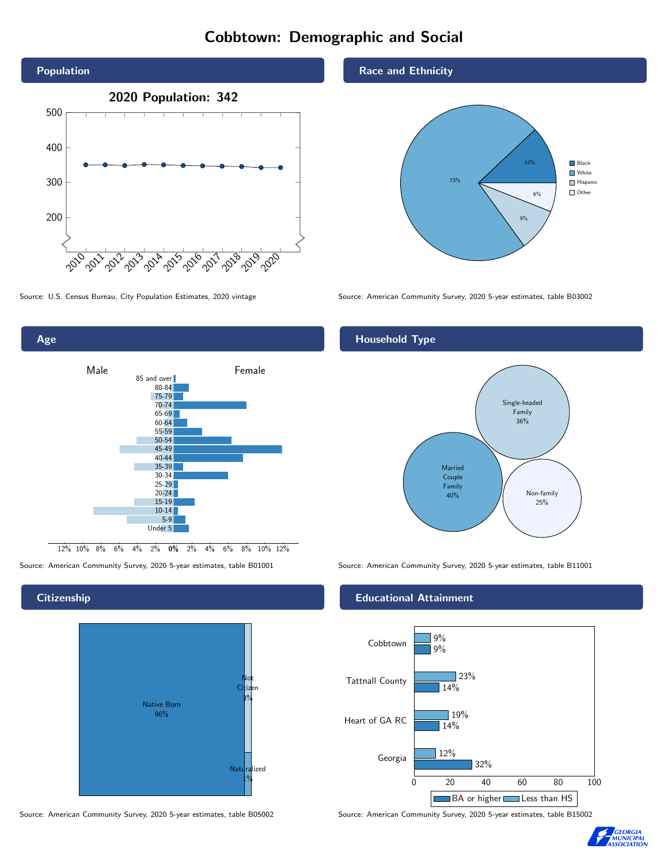# Cobbtown: Demographic and Social





## **Citizenship**



Source: American Community Survey, 2020 5-year estimates, table B05002 Source: American Community Survey, 2020 5-year estimates, table B15002

## Race and Ethnicity



Source: U.S. Census Bureau, City Population Estimates, 2020 vintage Source: American Community Survey, 2020 5-year estimates, table B03002

## Household Type



Source: American Community Survey, 2020 5-year estimates, table B01001 Source: American Community Survey, 2020 5-year estimates, table B11001

## Educational Attainment



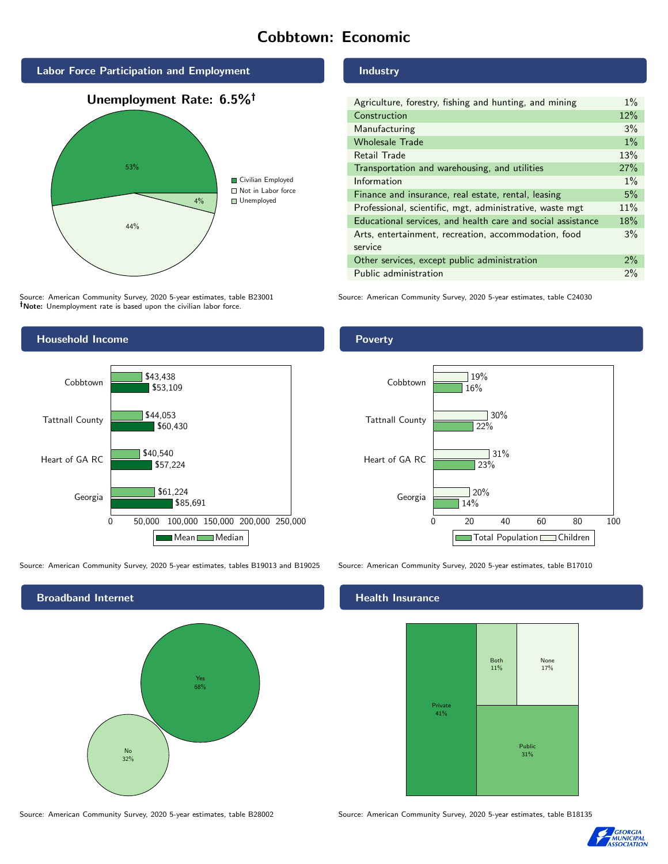# Cobbtown: Economic



Source: American Community Survey, 2020 5-year estimates, table B23001 Note: Unemployment rate is based upon the civilian labor force.



Source: American Community Survey, 2020 5-year estimates, tables B19013 and B19025 Source: American Community Survey, 2020 5-year estimates, table B17010



Industry

| Agriculture, forestry, fishing and hunting, and mining      | $1\%$ |
|-------------------------------------------------------------|-------|
| Construction                                                | 12%   |
| Manufacturing                                               | 3%    |
| <b>Wholesale Trade</b>                                      | $1\%$ |
| Retail Trade                                                | 13%   |
| Transportation and warehousing, and utilities               | 27%   |
| Information                                                 | $1\%$ |
| Finance and insurance, real estate, rental, leasing         | 5%    |
| Professional, scientific, mgt, administrative, waste mgt    | 11%   |
| Educational services, and health care and social assistance | 18%   |
| Arts, entertainment, recreation, accommodation, food        | $3\%$ |
| service                                                     |       |
| Other services, except public administration                | $2\%$ |
| Public administration                                       | $2\%$ |

Source: American Community Survey, 2020 5-year estimates, table C24030

## Poverty



## Health Insurance



Source: American Community Survey, 2020 5-year estimates, table B28002 Source: American Community Survey, 2020 5-year estimates, table B18135